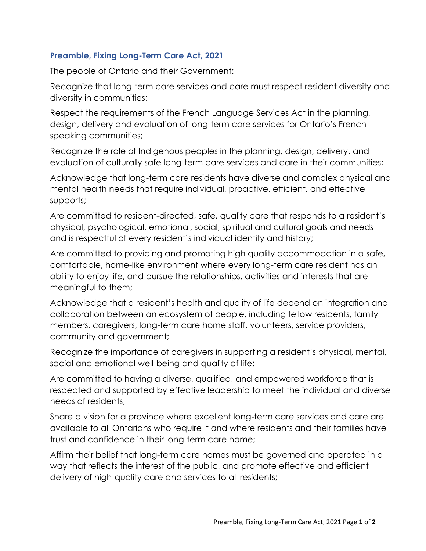## **Preamble, Fixing Long-Term Care Act, 2021**

The people of Ontario and their Government:

Recognize that long-term care services and care must respect resident diversity and diversity in communities;

Respect the requirements of the French Language Services Act in the planning, design, delivery and evaluation of long-term care services for Ontario's Frenchspeaking communities;

Recognize the role of Indigenous peoples in the planning, design, delivery, and evaluation of culturally safe long-term care services and care in their communities;

Acknowledge that long-term care residents have diverse and complex physical and mental health needs that require individual, proactive, efficient, and effective supports;

Are committed to resident-directed, safe, quality care that responds to a resident's physical, psychological, emotional, social, spiritual and cultural goals and needs and is respectful of every resident's individual identity and history;

Are committed to providing and promoting high quality accommodation in a safe, comfortable, home-like environment where every long-term care resident has an ability to enjoy life, and pursue the relationships, activities and interests that are meaningful to them;

Acknowledge that a resident's health and quality of life depend on integration and collaboration between an ecosystem of people, including fellow residents, family members, caregivers, long-term care home staff, volunteers, service providers, community and government;

Recognize the importance of caregivers in supporting a resident's physical, mental, social and emotional well-being and quality of life;

Are committed to having a diverse, qualified, and empowered workforce that is respected and supported by effective leadership to meet the individual and diverse needs of residents;

Share a vision for a province where excellent long-term care services and care are available to all Ontarians who require it and where residents and their families have trust and confidence in their long-term care home;

Affirm their belief that long-term care homes must be governed and operated in a way that reflects the interest of the public, and promote effective and efficient delivery of high-quality care and services to all residents;